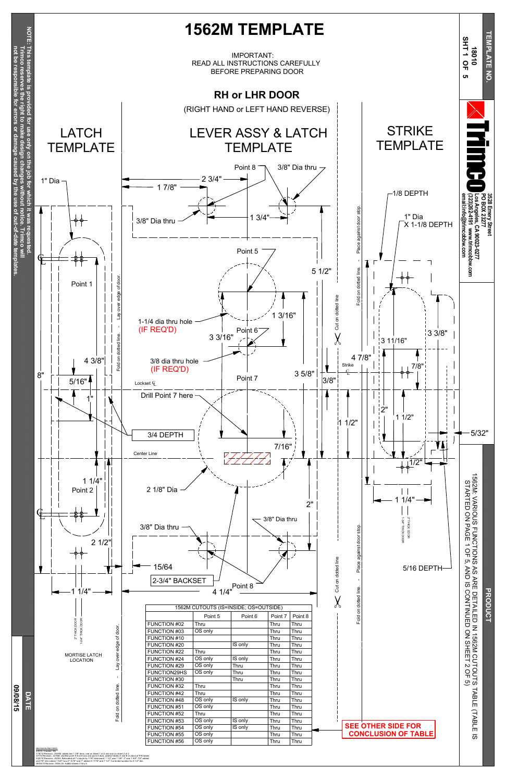1/18/12 Revision, JG/HM: added two 1 3/8" dims, one on sheet 1 of 2 and one on sheet 2 of 2

3/7/12 Revision, JG/HM: clarified point 5-8 cntr locs and point 8 dia's; added Tables A and B in place of P/N labels 5/22/12 Revision, JG/SH: Relocated all 7 cutouts by 1/16" downward; 1 1/2" was 1 3/8"; 2" was 1 5/8"; 7/8" added, and 7/8" dim makes 1 5/8" now 2"; 5/16" and 1" added,3 11/16" and 1 1/2", Corrected location for 4 1/2" dim.

09/08/15 Revision, SGH/JG: Added sheets 3 thru 5.

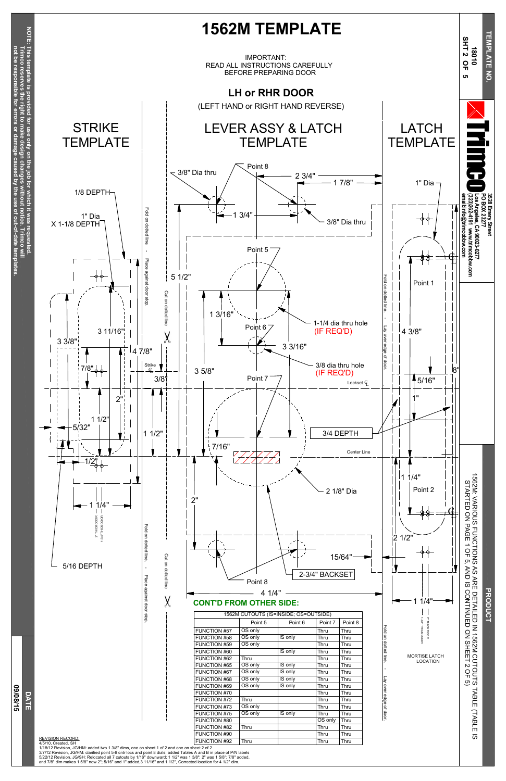



1/18/12 Revision, JG/HM: added two 1 3/8" dims, one on sheet 1 of 2 and one on sheet 2 of 2 3/7/12 Revision, JG/HM: clarified point 5-8 cntr locs and point 8 dia's; added Tables A and B in place of P/N labels<br>5/22/12 Revision, JG/SH: Relocated all 7 cutouts by 1/16" downward; 1 1/2" was 1 3/8"; 2" was 1 5/8"; 7/8 and 7/8" dim makes 1 5/8" now 2"; 5/16" and 1" added,3 11/16" and 1 1/2", Corrected location for 4 1/2" dim.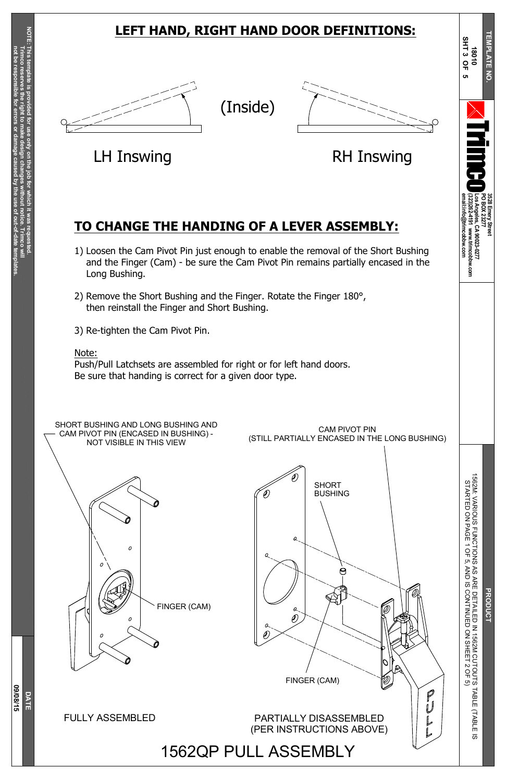**3528**

**Emery**

**Street**

N<br>R<br>E D E T AIL E D Z 15 6 2 M C U T O U T S T A B L E (T A B L E  $\overline{\omega}$ D ភ C O N TIN U E D  $\mathsf{S}$ SHEET  $\mathsf{\omega}$ O F ە

**PO B OX 23277**

**Los**

**Angeles,**

**CA**

**90023-0277**

**(323)262-4191**

**www.trimcobbw.com**

ক্ত **010**

**email:info@trimcobbw.com**



r i

**The Co** 

o

**T E M**

**P L A T E**

**N O.**

 $\overline{\mathbf{z}}$ 

**N**

A Č۵

O F ຸຕ ≥<br>Z

**D A T E**

**S H T 3 O F 5**

**0 9/0**

**8/15**

V A RIO U S

FUNCTIONS

S T A R T E D

o<br>Z

P A G E 1

SHORT BUSHING AND LONG BUSHING AND CAM PIVOT PIN (ENCASED IN BUSHING) - NOT VISIBLE IN THIS VIEW







### **LEFT HAND, RIGHT HAND DOOR DEFINITIONS:**







LH Inswing **EXAMPLE RH Inswing** 

### **TO CHANGE THE HANDING OF A LEVER ASSEMBLY:**

- 1) Loosen the Cam Pivot Pin just enough to enable the removal of the Short Bushing and the Finger (Cam) - be sure the Cam Pivot Pin remains partially encased in the Long Bushing.
- 2) Remove the Short Bushing and the Finger. Rotate the Finger 180°, then reinstall the Finger and Short Bushing.
- 3) Re-tighten the Cam Pivot Pin.

### Note:

Push/Pull Latchsets are assembled for right or for left hand doors. Be sure that handing is correct for a given door type.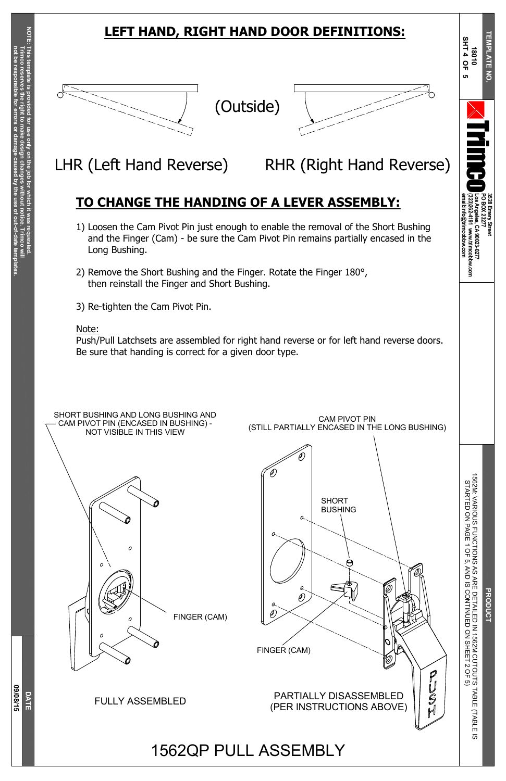**3528**

**Emery**

**Street**

**PO B OX 23277**

**Los**

**Angeles,**

**CA**

**90023-0277**

**(323)262-4191**

**www.trimcobbw.com**

ক্ত **010**

**email:info@trimcobbw.com**



r i

**The Co** 

o

**T E M**

**P L A T E**

**N O.**

 $\overline{\mathbf{z}}$ 

# N<br>R<br>E D E T AIL E D Z 15 6 2 M C U T O U T S T A B L E (T A B L E

**D A T E**

**S H T 4 O F 5**

**0 9/0**

**8/15**

## **LEFT HAND, RIGHT HAND DOOR DEFINITIONS:**

## **TO CHANGE THE HANDING OF A LEVER ASSEMBLY:**



- 1) Loosen the Cam Pivot Pin just enough to enable the removal of the Short Bushing and the Finger (Cam) - be sure the Cam Pivot Pin remains partially encased in the Long Bushing.
- 2) Remove the Short Bushing and the Finger. Rotate the Finger 180°, then reinstall the Finger and Short Bushing.
- 3) Re-tighten the Cam Pivot Pin.

### Note:

Push/Pull Latchsets are assembled for right hand reverse or for left hand reverse doors. Be sure that handing is correct for a given door type.





LHR (Left Hand Reverse) RHR (Right Hand Reverse)